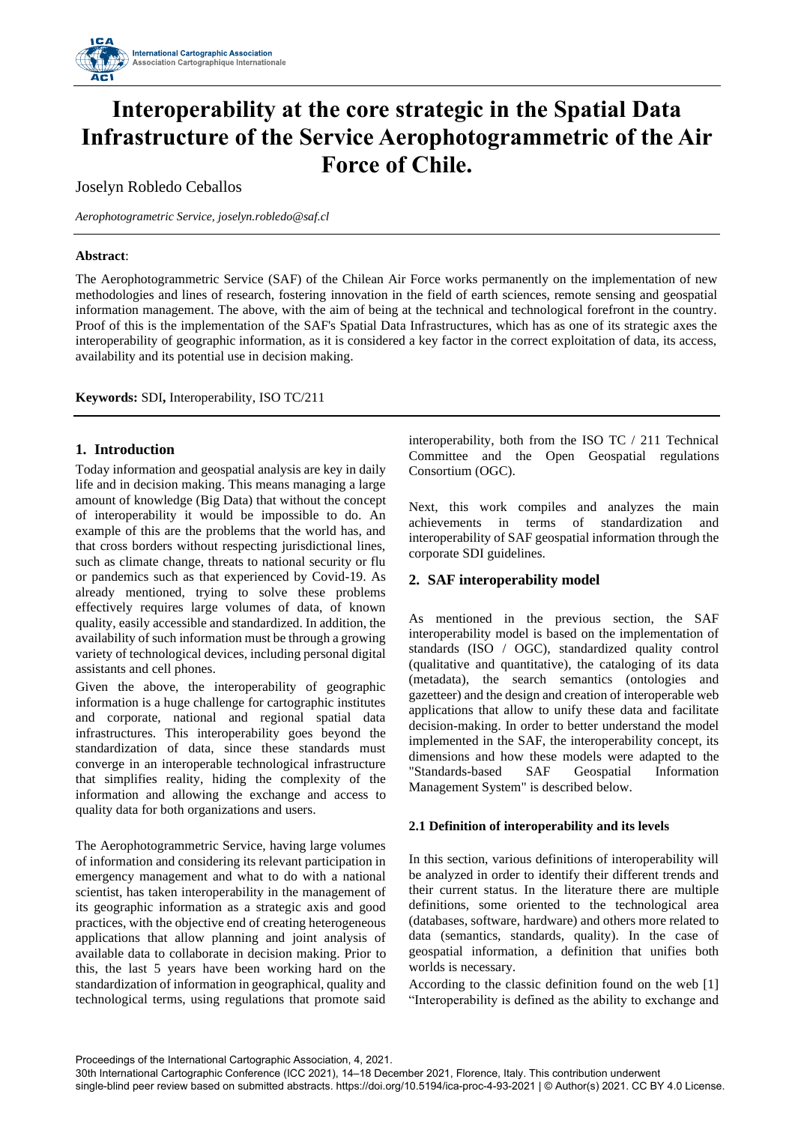

# **Interoperability at the core strategic in the Spatial Data Infrastructure of the Service Aerophotogrammetric of the Air Force of Chile.**

Joselyn Robledo Ceballos

*Aerophotogrametric Service[, joselyn.robledo@saf.cl](mailto:joselyn.robledo@saf.cl)*

## **Abstract**:

The Aerophotogrammetric Service (SAF) of the Chilean Air Force works permanently on the implementation of new methodologies and lines of research, fostering innovation in the field of earth sciences, remote sensing and geospatial information management. The above, with the aim of being at the technical and technological forefront in the country. Proof of this is the implementation of the SAF's Spatial Data Infrastructures, which has as one of its strategic axes the interoperability of geographic information, as it is considered a key factor in the correct exploitation of data, its access, availability and its potential use in decision making.

**Keywords:** SDI**,** Interoperability, ISO TC/211

# **1. Introduction**

Today information and geospatial analysis are key in daily life and in decision making. This means managing a large amount of knowledge (Big Data) that without the concept of interoperability it would be impossible to do. An example of this are the problems that the world has, and that cross borders without respecting jurisdictional lines, such as climate change, threats to national security or flu or pandemics such as that experienced by Covid-19. As already mentioned, trying to solve these problems effectively requires large volumes of data, of known quality, easily accessible and standardized. In addition, the availability of such information must be through a growing variety of technological devices, including personal digital assistants and cell phones.

Given the above, the interoperability of geographic information is a huge challenge for cartographic institutes and corporate, national and regional spatial data infrastructures. This interoperability goes beyond the standardization of data, since these standards must converge in an interoperable technological infrastructure that simplifies reality, hiding the complexity of the information and allowing the exchange and access to quality data for both organizations and users.

The Aerophotogrammetric Service, having large volumes of information and considering its relevant participation in emergency management and what to do with a national scientist, has taken interoperability in the management of its geographic information as a strategic axis and good practices, with the objective end of creating heterogeneous applications that allow planning and joint analysis of available data to collaborate in decision making. Prior to this, the last 5 years have been working hard on the standardization of information in geographical, quality and technological terms, using regulations that promote said

interoperability, both from the ISO TC / 211 Technical Committee and the Open Geospatial regulations Consortium (OGC).

Next, this work compiles and analyzes the main achievements in terms of standardization and interoperability of SAF geospatial information through the corporate SDI guidelines.

# **2. SAF interoperability model**

As mentioned in the previous section, the SAF interoperability model is based on the implementation of standards (ISO / OGC), standardized quality control (qualitative and quantitative), the cataloging of its data (metadata), the search semantics (ontologies and gazetteer) and the design and creation of interoperable web applications that allow to unify these data and facilitate decision-making. In order to better understand the model implemented in the SAF, the interoperability concept, its dimensions and how these models were adapted to the "Standards-based SAF Geospatial Information Management System" is described below.

## **2.1 Definition of interoperability and its levels**

In this section, various definitions of interoperability will be analyzed in order to identify their different trends and their current status. In the literature there are multiple definitions, some oriented to the technological area (databases, software, hardware) and others more related to data (semantics, standards, quality). In the case of geospatial information, a definition that unifies both worlds is necessary.

According to the classic definition found on the web [1] "Interoperability is defined as the ability to exchange and

Proceedings of the International Cartographic Association, 4, 2021.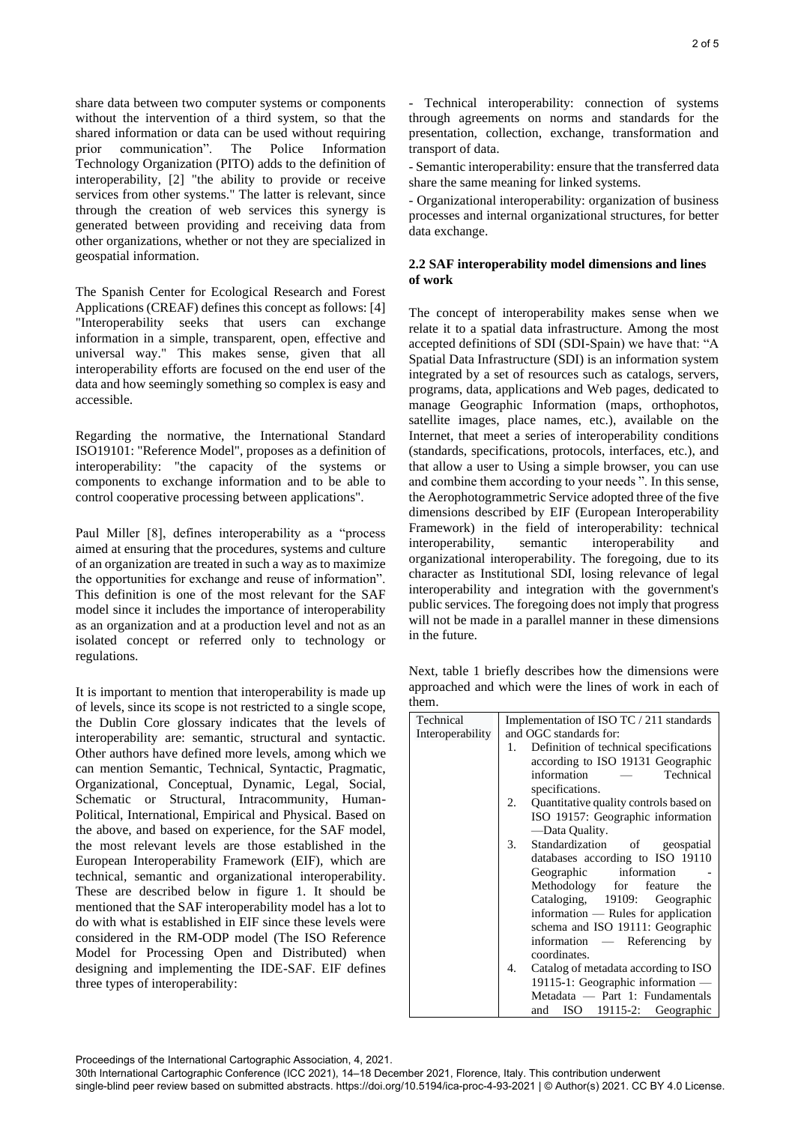share data between two computer systems or components without the intervention of a third system, so that the shared information or data can be used without requiring prior communication". The Police Information Technology Organization (PITO) adds to the definition of interoperability, [2] "the ability to provide or receive services from other systems." The latter is relevant, since through the creation of web services this synergy is generated between providing and receiving data from other organizations, whether or not they are specialized in geospatial information.

The Spanish Center for Ecological Research and Forest Applications (CREAF) defines this concept as follows: [4] "Interoperability seeks that users can exchange information in a simple, transparent, open, effective and universal way." This makes sense, given that all interoperability efforts are focused on the end user of the data and how seemingly something so complex is easy and accessible.

Regarding the normative, the International Standard ISO19101: "Reference Model", proposes as a definition of interoperability: "the capacity of the systems or components to exchange information and to be able to control cooperative processing between applications".

Paul Miller [8], defines interoperability as a "process aimed at ensuring that the procedures, systems and culture of an organization are treated in such a way as to maximize the opportunities for exchange and reuse of information". This definition is one of the most relevant for the SAF model since it includes the importance of interoperability as an organization and at a production level and not as an isolated concept or referred only to technology or regulations.

It is important to mention that interoperability is made up of levels, since its scope is not restricted to a single scope, the Dublin Core glossary indicates that the levels of interoperability are: semantic, structural and syntactic. Other authors have defined more levels, among which we can mention Semantic, Technical, Syntactic, Pragmatic, Organizational, Conceptual, Dynamic, Legal, Social, Schematic or Structural, Intracommunity, Human-Political, International, Empirical and Physical. Based on the above, and based on experience, for the SAF model, the most relevant levels are those established in the European Interoperability Framework (EIF), which are technical, semantic and organizational interoperability. These are described below in figure 1. It should be mentioned that the SAF interoperability model has a lot to do with what is established in EIF since these levels were considered in the RM-ODP model (The ISO Reference Model for Processing Open and Distributed) when designing and implementing the IDE-SAF. EIF defines three types of interoperability:

- Technical interoperability: connection of systems through agreements on norms and standards for the presentation, collection, exchange, transformation and transport of data.

- Semantic interoperability: ensure that the transferred data share the same meaning for linked systems.

- Organizational interoperability: organization of business processes and internal organizational structures, for better data exchange.

## **2.2 SAF interoperability model dimensions and lines of work**

The concept of interoperability makes sense when we relate it to a spatial data infrastructure. Among the most accepted definitions of SDI (SDI-Spain) we have that: "A Spatial Data Infrastructure (SDI) is an information system integrated by a set of resources such as catalogs, servers, programs, data, applications and Web pages, dedicated to manage Geographic Information (maps, orthophotos, satellite images, place names, etc.), available on the Internet, that meet a series of interoperability conditions (standards, specifications, protocols, interfaces, etc.), and that allow a user to Using a simple browser, you can use and combine them according to your needs ". In this sense, the Aerophotogrammetric Service adopted three of the five dimensions described by EIF (European Interoperability Framework) in the field of interoperability: technical interoperability, semantic interoperability and organizational interoperability. The foregoing, due to its character as Institutional SDI, losing relevance of legal interoperability and integration with the government's public services. The foregoing does not imply that progress will not be made in a parallel manner in these dimensions in the future.

Next, table 1 briefly describes how the dimensions were approached and which were the lines of work in each of them.

| Technical        | Implementation of ISO TC / 211 standards     |
|------------------|----------------------------------------------|
| Interoperability | and OGC standards for:                       |
|                  | Definition of technical specifications<br>1. |
|                  | according to ISO 19131 Geographic            |
|                  | Technical<br>information                     |
|                  | specifications.                              |
|                  |                                              |
|                  | 2. Quantitative quality controls based on    |
|                  | ISO 19157: Geographic information            |
|                  | -Data Ouality.                               |
|                  | 3.<br>Standardization of geospatial          |
|                  | databases according to ISO 19110             |
|                  | Geographic information                       |
|                  | Methodology for feature the                  |
|                  | Cataloging, 19109: Geographic                |
|                  | information — Rules for application          |
|                  | schema and ISO 19111: Geographic             |
|                  | information — Referencing<br>by              |
|                  | coordinates.                                 |
|                  | 4.<br>Catalog of metadata according to ISO   |
|                  | 19115-1: Geographic information —            |
|                  | Metadata — Part 1: Fundamentals              |
|                  | and ISO 19115-2: Geographic                  |
|                  |                                              |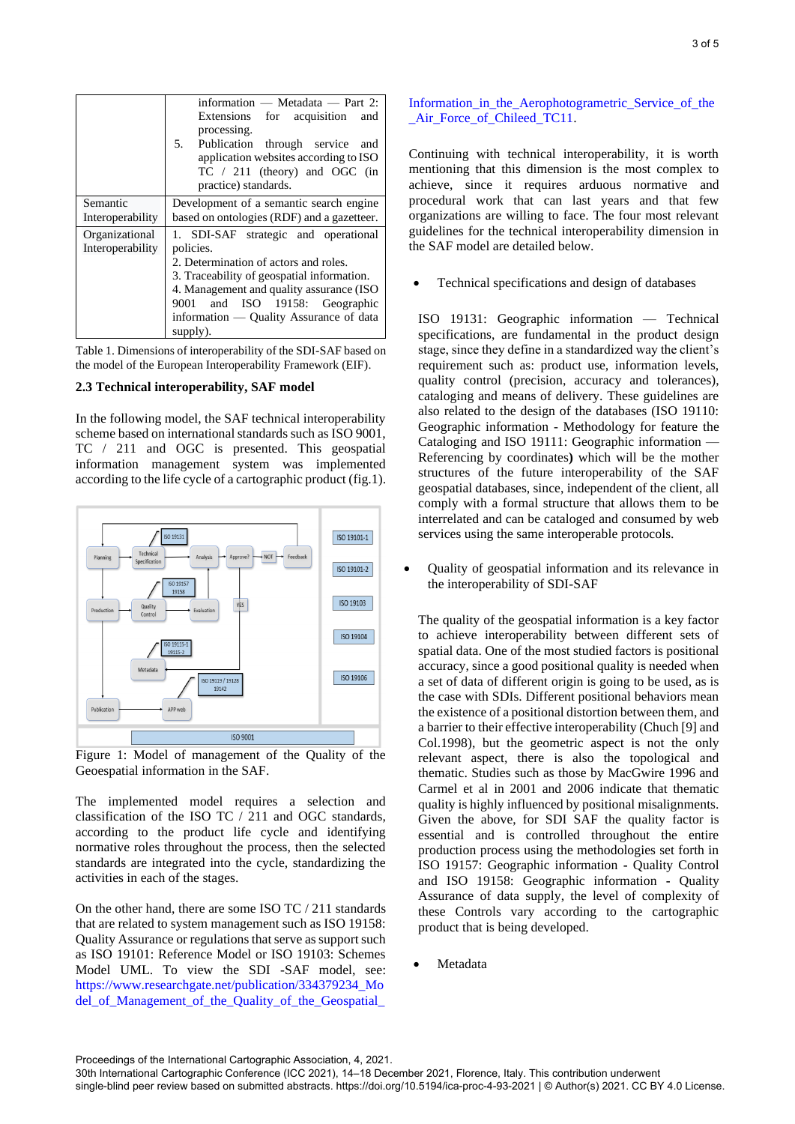|                                    | information $-$ Metadata $-$ Part 2:<br>Extensions for acquisition<br>and<br>processing.<br>5. Publication through service<br>and<br>application websites according to ISO<br>$TC / 211$ (theory) and OGC (in<br>practice) standards.                                         |
|------------------------------------|-------------------------------------------------------------------------------------------------------------------------------------------------------------------------------------------------------------------------------------------------------------------------------|
| Semantic<br>Interoperability       | Development of a semantic search engine<br>based on ontologies (RDF) and a gazetteer.                                                                                                                                                                                         |
| Organizational<br>Interoperability | 1. SDI-SAF strategic and operational<br>policies.<br>2. Determination of actors and roles.<br>3. Traceability of geospatial information.<br>4. Management and quality assurance (ISO<br>9001 and ISO 19158: Geographic<br>information — Quality Assurance of data<br>supply). |

Table 1. Dimensions of interoperability of the SDI-SAF based on the model of the European Interoperability Framework (EIF).

#### **2.3 Technical interoperability, SAF model**

In the following model, the SAF technical interoperability scheme based on international standards such as ISO 9001, TC / 211 and OGC is presented. This geospatial information management system was implemented according to the life cycle of a cartographic product (fig.1).



Figure 1: Model of management of the Quality of the Geoespatial information in the SAF.

The implemented model requires a selection and classification of the ISO TC / 211 and OGC standards, according to the product life cycle and identifying normative roles throughout the process, then the selected standards are integrated into the cycle, standardizing the activities in each of the stages.

On the other hand, there are some ISO TC / 211 standards that are related to system management such as ISO 19158: Quality Assurance or regulations that serve as support such as ISO 19101: Reference Model or ISO 19103: Schemes Model UML. To view the SDI -SAF model, see: [https://www.researchgate.net/publication/334379234\\_Mo](https://www.researchgate.net/publication/334379234_Model_of_Management_of_the_Quality_of_the_Geospatial_Information_in_the_Aerophotogrametric_Service_of_the_Air_Force_of_Chileed_TC11) [del\\_of\\_Management\\_of\\_the\\_Quality\\_of\\_the\\_Geospatial\\_](https://www.researchgate.net/publication/334379234_Model_of_Management_of_the_Quality_of_the_Geospatial_Information_in_the_Aerophotogrametric_Service_of_the_Air_Force_of_Chileed_TC11)

[Information\\_in\\_the\\_Aerophotogrametric\\_Service\\_of\\_the](https://www.researchgate.net/publication/334379234_Model_of_Management_of_the_Quality_of_the_Geospatial_Information_in_the_Aerophotogrametric_Service_of_the_Air_Force_of_Chileed_TC11) [\\_Air\\_Force\\_of\\_Chileed\\_TC11.](https://www.researchgate.net/publication/334379234_Model_of_Management_of_the_Quality_of_the_Geospatial_Information_in_the_Aerophotogrametric_Service_of_the_Air_Force_of_Chileed_TC11)

Continuing with technical interoperability, it is worth mentioning that this dimension is the most complex to achieve, since it requires arduous normative and procedural work that can last years and that few organizations are willing to face. The four most relevant guidelines for the technical interoperability dimension in the SAF model are detailed below.

Technical specifications and design of databases

ISO 19131: Geographic information — Technical specifications, are fundamental in the product design stage, since they define in a standardized way the client's requirement such as: product use, information levels, quality control (precision, accuracy and tolerances), cataloging and means of delivery. These guidelines are also related to the design of the databases (ISO 19110: Geographic information - Methodology for feature the Cataloging and ISO 19111: Geographic information — Referencing by coordinates**)** which will be the mother structures of the future interoperability of the SAF geospatial databases, since, independent of the client, all comply with a formal structure that allows them to be interrelated and can be cataloged and consumed by web services using the same interoperable protocols.

• Quality of geospatial information and its relevance in the interoperability of SDI-SAF

The quality of the geospatial information is a key factor to achieve interoperability between different sets of spatial data. One of the most studied factors is positional accuracy, since a good positional quality is needed when a set of data of different origin is going to be used, as is the case with SDIs. Different positional behaviors mean the existence of a positional distortion between them, and a barrier to their effective interoperability (Chuch [9] and Col.1998), but the geometric aspect is not the only relevant aspect, there is also the topological and thematic. Studies such as those by MacGwire 1996 and Carmel et al in 2001 and 2006 indicate that thematic quality is highly influenced by positional misalignments. Given the above, for SDI SAF the quality factor is essential and is controlled throughout the entire production process using the methodologies set forth in ISO 19157: Geographic information **-** Quality Control and ISO 19158: Geographic information **-** Quality Assurance of data supply, the level of complexity of these Controls vary according to the cartographic product that is being developed.

**Metadata** 

Proceedings of the International Cartographic Association, 4, 2021.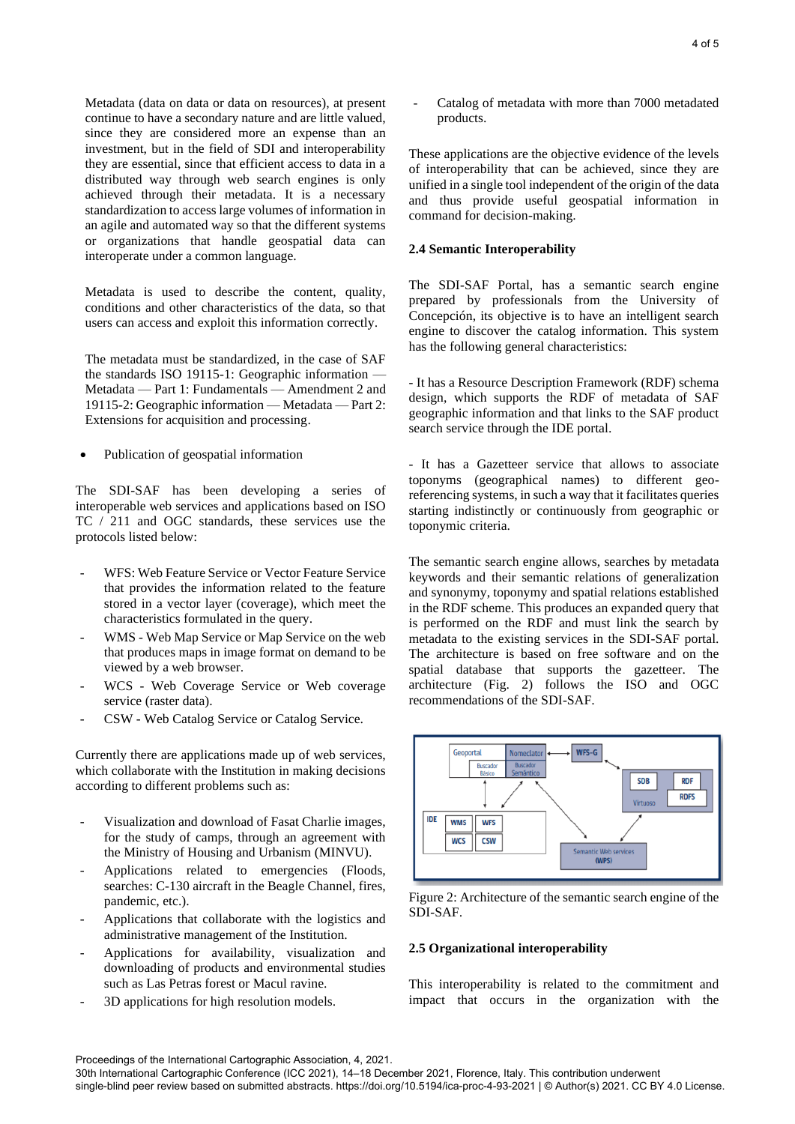Metadata (data on data or data on resources), at present continue to have a secondary nature and are little valued, since they are considered more an expense than an investment, but in the field of SDI and interoperability they are essential, since that efficient access to data in a distributed way through web search engines is only achieved through their metadata. It is a necessary standardization to access large volumes of information in an agile and automated way so that the different systems or organizations that handle geospatial data can interoperate under a common language.

Metadata is used to describe the content, quality, conditions and other characteristics of the data, so that users can access and exploit this information correctly.

The metadata must be standardized, in the case of SAF the standards ISO 19115-1: Geographic information -Metadata — Part 1: Fundamentals — Amendment 2 and 19115-2: Geographic information — Metadata — Part 2: Extensions for acquisition and processing.

• Publication of geospatial information

The SDI-SAF has been developing a series of interoperable web services and applications based on ISO TC / 211 and OGC standards, these services use the protocols listed below:

- WFS: Web Feature Service or Vector Feature Service that provides the information related to the feature stored in a vector layer (coverage), which meet the characteristics formulated in the query.
- WMS Web Map Service or Map Service on the web that produces maps in image format on demand to be viewed by a web browser.
- WCS Web Coverage Service or Web coverage service (raster data).
- CSW Web Catalog Service or Catalog Service.

Currently there are applications made up of web services, which collaborate with the Institution in making decisions according to different problems such as:

- Visualization and download of Fasat Charlie images, for the study of camps, through an agreement with the Ministry of Housing and Urbanism (MINVU).
- Applications related to emergencies (Floods, searches: C-130 aircraft in the Beagle Channel, fires, pandemic, etc.).
- Applications that collaborate with the logistics and administrative management of the Institution.
- Applications for availability, visualization and downloading of products and environmental studies such as Las Petras forest or Macul ravine.
- 3D applications for high resolution models.

Catalog of metadata with more than 7000 metadated products.

These applications are the objective evidence of the levels of interoperability that can be achieved, since they are unified in a single tool independent of the origin of the data and thus provide useful geospatial information in command for decision-making.

#### **2.4 Semantic Interoperability**

The SDI-SAF Portal, has a semantic search engine prepared by professionals from the University of Concepción, its objective is to have an intelligent search engine to discover the catalog information. This system has the following general characteristics:

- It has a Resource Description Framework (RDF) schema design, which supports the RDF of metadata of SAF geographic information and that links to the SAF product search service through the IDE portal.

- It has a Gazetteer service that allows to associate toponyms (geographical names) to different georeferencing systems, in such a way that it facilitates queries starting indistinctly or continuously from geographic or toponymic criteria.

The semantic search engine allows, searches by metadata keywords and their semantic relations of generalization and synonymy, toponymy and spatial relations established in the RDF scheme. This produces an expanded query that is performed on the RDF and must link the search by metadata to the existing services in the SDI-SAF portal. The architecture is based on free software and on the spatial database that supports the gazetteer. The architecture (Fig. 2) follows the ISO and OGC recommendations of the SDI-SAF.



Figure 2: Architecture of the semantic search engine of the SDI-SAF.

#### **2.5 Organizational interoperability**

This interoperability is related to the commitment and impact that occurs in the organization with the